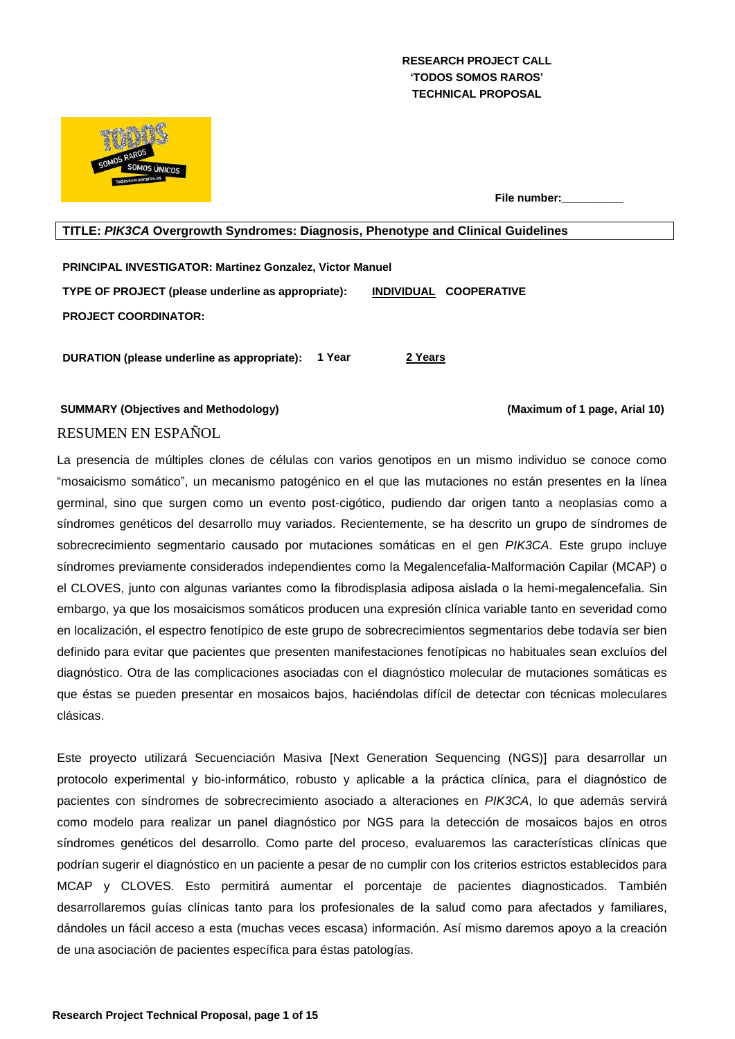## **RESEARCH PROJECT CALL 'TODOS SOMOS RAROS' TECHNICAL PROPOSAL**



**File number:** 

## **TITLE:** *PIK3CA* **Overgrowth Syndromes: Diagnosis, Phenotype and Clinical Guidelines**

**PRINCIPAL INVESTIGATOR: Martinez Gonzalez, Victor Manuel TYPE OF PROJECT (please underline as appropriate): INDIVIDUAL COOPERATIVE PROJECT COORDINATOR:**

**DURATION (please underline as appropriate): 1 Year 2 Years**

**SUMMARY (Objectives and Methodology) (Maximum of 1 page, Arial 10)** RESUMEN EN ESPAÑOL

La presencia de múltiples clones de células con varios genotipos en un mismo individuo se conoce como "mosaicismo somático", un mecanismo patogénico en el que las mutaciones no están presentes en la línea germinal, sino que surgen como un evento post-cigótico, pudiendo dar origen tanto a neoplasias como a síndromes genéticos del desarrollo muy variados. Recientemente, se ha descrito un grupo de síndromes de sobrecrecimiento segmentario causado por mutaciones somáticas en el gen *PIK3CA*. Este grupo incluye síndromes previamente considerados independientes como la Megalencefalia-Malformación Capilar (MCAP) o el CLOVES, junto con algunas variantes como la fibrodisplasia adiposa aislada o la hemi-megalencefalia. Sin embargo, ya que los mosaicismos somáticos producen una expresión clínica variable tanto en severidad como en localización, el espectro fenotípico de este grupo de sobrecrecimientos segmentarios debe todavía ser bien definido para evitar que pacientes que presenten manifestaciones fenotípicas no habituales sean excluíos del diagnóstico. Otra de las complicaciones asociadas con el diagnóstico molecular de mutaciones somáticas es que éstas se pueden presentar en mosaicos bajos, haciéndolas difícil de detectar con técnicas moleculares clásicas.

Este proyecto utilizará Secuenciación Masiva [Next Generation Sequencing (NGS)] para desarrollar un protocolo experimental y bio-informático, robusto y aplicable a la práctica clínica, para el diagnóstico de pacientes con síndromes de sobrecrecimiento asociado a alteraciones en *PIK3CA*, lo que además servirá como modelo para realizar un panel diagnóstico por NGS para la detección de mosaicos bajos en otros síndromes genéticos del desarrollo. Como parte del proceso, evaluaremos las características clínicas que podrían sugerir el diagnóstico en un paciente a pesar de no cumplir con los criterios estrictos establecidos para MCAP y CLOVES. Esto permitirá aumentar el porcentaje de pacientes diagnosticados. También desarrollaremos guías clínicas tanto para los profesionales de la salud como para afectados y familiares, dándoles un fácil acceso a esta (muchas veces escasa) información. Así mismo daremos apoyo a la creación de una asociación de pacientes específica para éstas patologías.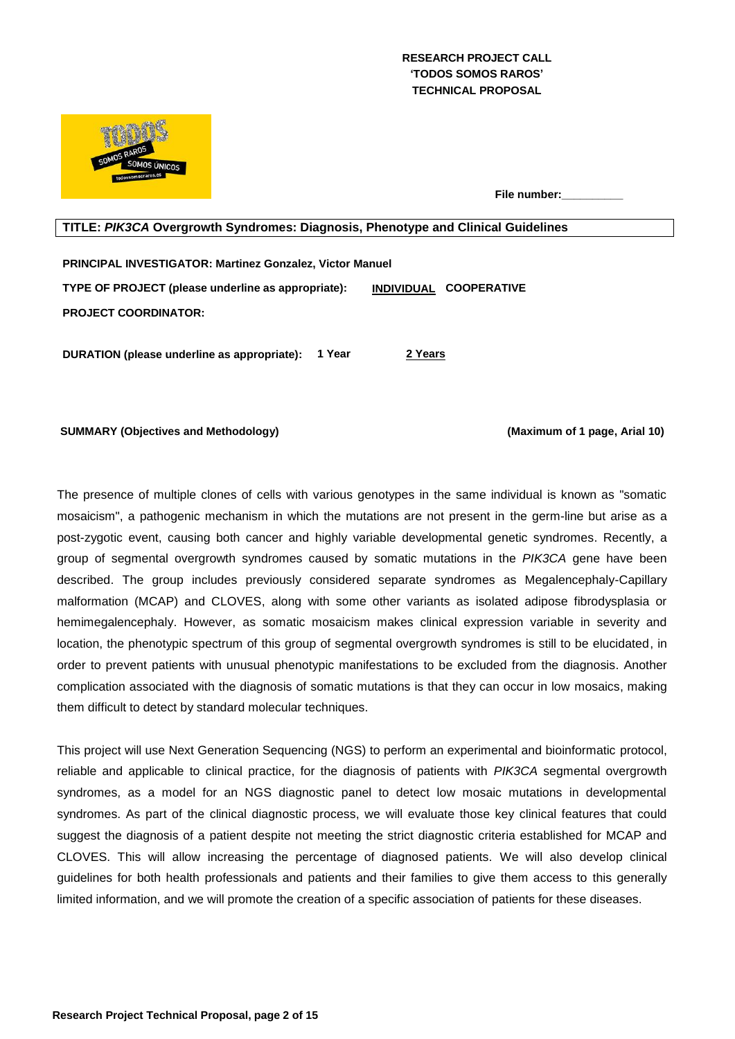## **RESEARCH PROJECT CALL 'TODOS SOMOS RAROS' TECHNICAL PROPOSAL**



**File number:** 

## **TITLE:** *PIK3CA* **Overgrowth Syndromes: Diagnosis, Phenotype and Clinical Guidelines**

**PRINCIPAL INVESTIGATOR: Martinez Gonzalez, Victor Manuel TYPE OF PROJECT (please underline as appropriate): INDIVIDUAL COOPERATIVE PROJECT COORDINATOR:**

**DURATION (please underline as appropriate): 1 Year 2 Years**

**SUMMARY (Objectives and Methodology) (Maximum of 1 page, Arial 10)**

The presence of multiple clones of cells with various genotypes in the same individual is known as "somatic mosaicism", a pathogenic mechanism in which the mutations are not present in the germ-line but arise as a post-zygotic event, causing both cancer and highly variable developmental genetic syndromes. Recently, a group of segmental overgrowth syndromes caused by somatic mutations in the *PIK3CA* gene have been described. The group includes previously considered separate syndromes as Megalencephaly-Capillary malformation (MCAP) and CLOVES, along with some other variants as isolated adipose fibrodysplasia or hemimegalencephaly. However, as somatic mosaicism makes clinical expression variable in severity and location, the phenotypic spectrum of this group of segmental overgrowth syndromes is still to be elucidated, in order to prevent patients with unusual phenotypic manifestations to be excluded from the diagnosis. Another complication associated with the diagnosis of somatic mutations is that they can occur in low mosaics, making them difficult to detect by standard molecular techniques.

This project will use Next Generation Sequencing (NGS) to perform an experimental and bioinformatic protocol, reliable and applicable to clinical practice, for the diagnosis of patients with *PIK3CA* segmental overgrowth syndromes, as a model for an NGS diagnostic panel to detect low mosaic mutations in developmental syndromes. As part of the clinical diagnostic process, we will evaluate those key clinical features that could suggest the diagnosis of a patient despite not meeting the strict diagnostic criteria established for MCAP and CLOVES. This will allow increasing the percentage of diagnosed patients. We will also develop clinical guidelines for both health professionals and patients and their families to give them access to this generally limited information, and we will promote the creation of a specific association of patients for these diseases.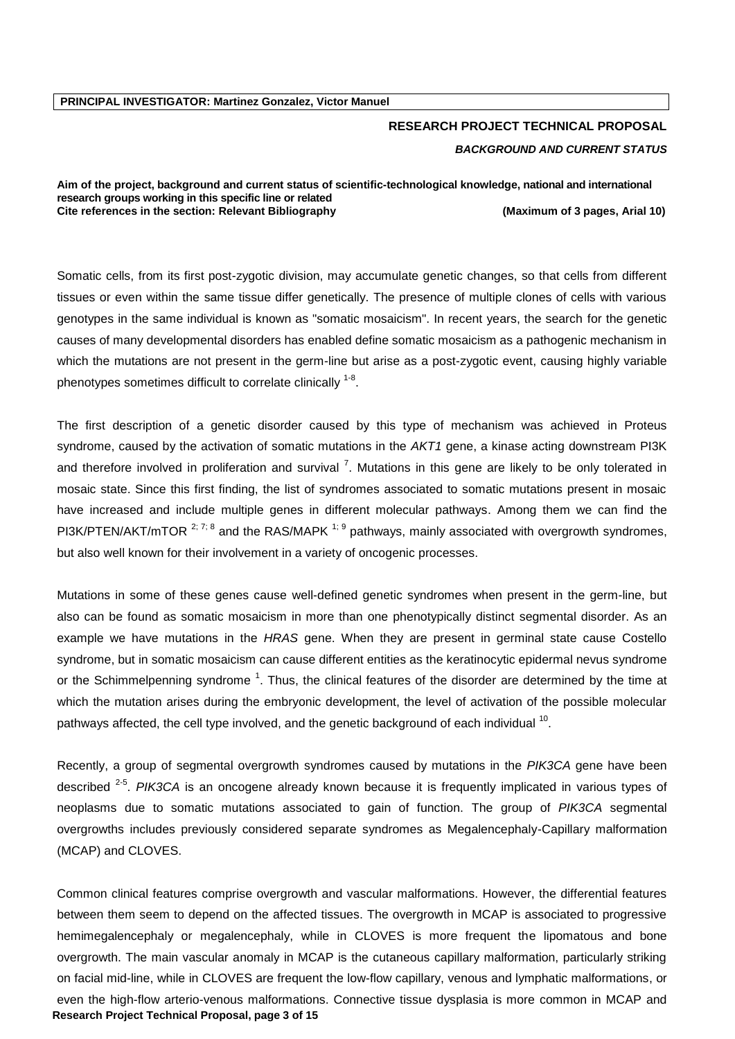# **RESEARCH PROJECT TECHNICAL PROPOSAL** *BACKGROUND AND CURRENT STATUS*

#### **Aim of the project, background and current status of scientific-technological knowledge, national and international research groups working in this specific line or related Cite references in the section: Relevant Bibliography (Maximum of 3 pages, Arial 10)**

Somatic cells, from its first post-zygotic division, may accumulate genetic changes, so that cells from different tissues or even within the same tissue differ genetically. The presence of multiple clones of cells with various genotypes in the same individual is known as "somatic mosaicism". In recent years, the search for the genetic causes of many developmental disorders has enabled define somatic mosaicism as a pathogenic mechanism in which the mutations are not present in the germ-line but arise as a post-zygotic event, causing highly variable phenotypes sometimes difficult to correlate clinically  $^{1-8}$  $^{1-8}$  $^{1-8}$ .

The first description of a genetic disorder caused by this type of mechanism was achieved in Proteus syndrome, caused by the activation of somatic mutations in the *AKT1* gene, a kinase acting downstream PI3K and therefore involved in proliferation and survival<sup>7</sup>[.](#page-5-1) Mutations in this gene are likely to be only tolerated in mosaic state. Since this first finding, the list of syndromes associated to somatic mutations present in mosaic have increased and include multiple genes in different molecular pathways. Among them we can find the PI3K/PTEN/AKT/mTOR <sup>[2;](#page-5-2) [7;](#page-5-1) [8](#page-5-3)</sup> and the RAS/MAPK <sup>[1;](#page-5-0) [9](#page-5-4)</sup> pathways, mainly associated with overgrowth syndromes, but also well known for their involvement in a variety of oncogenic processes.

Mutations in some of these genes cause well-defined genetic syndromes when present in the germ-line, but also can be found as somatic mosaicism in more than one phenotypically distinct segmental disorder. As an example we have mutations in the *HRAS* gene. When they are present in germinal state cause Costello syndrome, but in somatic mosaicism can cause different entities as the keratinocytic epidermal nevus syndrome or the Schimmelpenning syndrome<sup>1</sup>[.](#page-5-0) Thus, the clinical features of the disorder are determined by the time at which the mutation arises during the embryonic development, the level of activation of the possible molecular pathways affected, the cell type involved, and the genetic background of each individual  $^{10}$  $^{10}$  $^{10}$ .

Recently, a group of segmental overgrowth syndromes caused by mutations in the *PIK3CA* gene have been described <sup>[2-5](#page-5-2)</sup>. PIK3CA is an oncogene already known because it is frequently implicated in various types of neoplasms due to somatic mutations associated to gain of function. The group of *PIK3CA* segmental overgrowths includes previously considered separate syndromes as Megalencephaly-Capillary malformation (MCAP) and CLOVES.

**Research Project Technical Proposal, page 3 of 15** Common clinical features comprise overgrowth and vascular malformations. However, the differential features between them seem to depend on the affected tissues. The overgrowth in MCAP is associated to progressive hemimegalencephaly or megalencephaly, while in CLOVES is more frequent the lipomatous and bone overgrowth. The main vascular anomaly in MCAP is the cutaneous capillary malformation, particularly striking on facial mid-line, while in CLOVES are frequent the low-flow capillary, venous and lymphatic malformations, or even the high-flow arterio-venous malformations. Connective tissue dysplasia is more common in MCAP and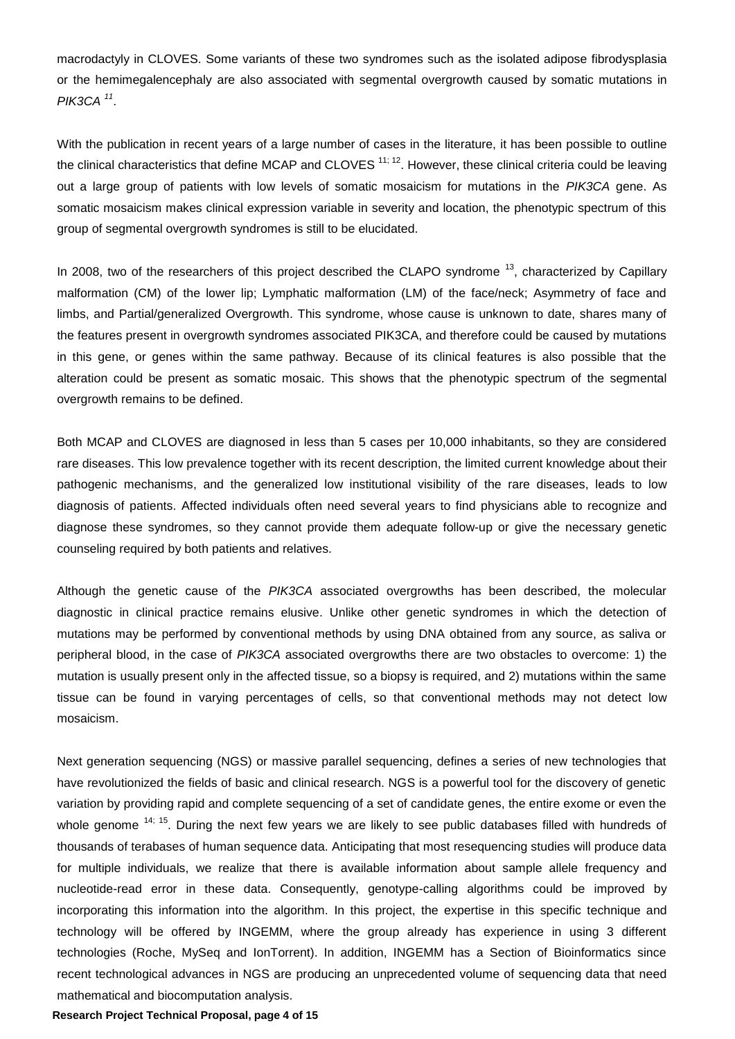macrodactyly in CLOVES. Some variants of these two syndromes such as the isolated adipose fibrodysplasia or the hemimegalencephaly are also associated with segmental overgrowth caused by somatic mutations in *PIK3CA [11](#page-5-6)* .

With the publication in recent years of a large number of cases in the literature, it has been possible to outline the clinical characteristics that define MCAP and CLOVES  $11; 12$  $11; 12$ . However, these clinical criteria could be leaving out a large group of patients with low levels of somatic mosaicism for mutations in the *PIK3CA* gene. As somatic mosaicism makes clinical expression variable in severity and location, the phenotypic spectrum of this group of segmental overgrowth syndromes is still to be elucidated.

In 2008, two of the researchers of this project described the CLAPO syndrome  $^{13}$  $^{13}$  $^{13}$ , characterized by Capillary malformation (CM) of the lower lip; Lymphatic malformation (LM) of the face/neck; Asymmetry of face and limbs, and Partial/generalized Overgrowth. This syndrome, whose cause is unknown to date, shares many of the features present in overgrowth syndromes associated PIK3CA, and therefore could be caused by mutations in this gene, or genes within the same pathway. Because of its clinical features is also possible that the alteration could be present as somatic mosaic. This shows that the phenotypic spectrum of the segmental overgrowth remains to be defined.

Both MCAP and CLOVES are diagnosed in less than 5 cases per 10,000 inhabitants, so they are considered rare diseases. This low prevalence together with its recent description, the limited current knowledge about their pathogenic mechanisms, and the generalized low institutional visibility of the rare diseases, leads to low diagnosis of patients. Affected individuals often need several years to find physicians able to recognize and diagnose these syndromes, so they cannot provide them adequate follow-up or give the necessary genetic counseling required by both patients and relatives.

Although the genetic cause of the *PIK3CA* associated overgrowths has been described, the molecular diagnostic in clinical practice remains elusive. Unlike other genetic syndromes in which the detection of mutations may be performed by conventional methods by using DNA obtained from any source, as saliva or peripheral blood, in the case of *PIK3CA* associated overgrowths there are two obstacles to overcome: 1) the mutation is usually present only in the affected tissue, so a biopsy is required, and 2) mutations within the same tissue can be found in varying percentages of cells, so that conventional methods may not detect low mosaicism.

Next generation sequencing (NGS) or massive parallel sequencing, defines a series of new technologies that have revolutionized the fields of basic and clinical research. NGS is a powerful tool for the discovery of genetic variation by providing rapid and complete sequencing of a set of candidate genes, the entire exome or even the whole genome <sup>[14;](#page-5-9) [15](#page-5-10)</sup>. During the next few years we are likely to see public databases filled with hundreds of thousands of terabases of human sequence data. Anticipating that most resequencing studies will produce data for multiple individuals, we realize that there is available information about sample allele frequency and nucleotide-read error in these data. Consequently, genotype-calling algorithms could be improved by incorporating this information into the algorithm. In this project, the expertise in this specific technique and technology will be offered by INGEMM, where the group already has experience in using 3 different technologies (Roche, MySeq and IonTorrent). In addition, INGEMM has a Section of Bioinformatics since recent technological advances in NGS are producing an unprecedented volume of sequencing data that need mathematical and biocomputation analysis.

#### **Research Project Technical Proposal, page 4 of 15**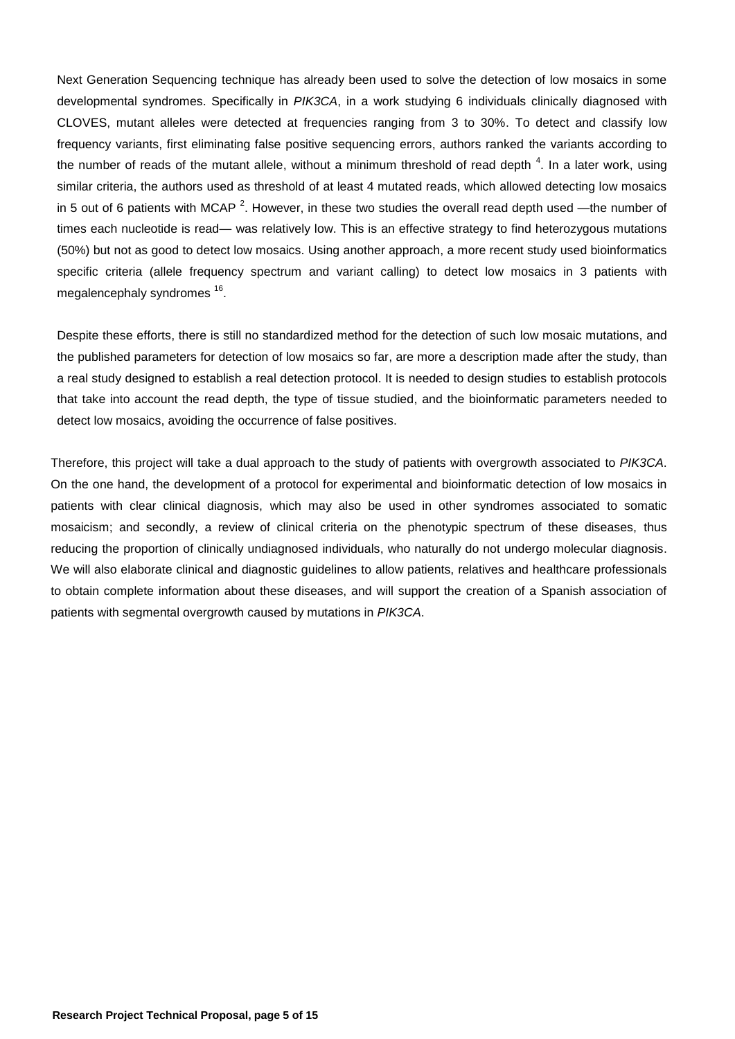Next Generation Sequencing technique has already been used to solve the detection of low mosaics in some developmental syndromes. Specifically in *PIK3CA*, in a work studying 6 individuals clinically diagnosed with CLOVES, mutant alleles were detected at frequencies ranging from 3 to 30%. To detect and classify low frequency variants, first eliminating false positive sequencing errors, authors ranked the variants according to the number of reads of the mutant allele, without a minimum threshold of read depth<sup>4</sup>[.](#page-5-11) In a later work, using similar criteria, the authors used as threshold of at least 4 mutated reads, which allowed detecting low mosaics in 5 out of 6 patients with MCAP<sup>[2](#page-5-2)</sup>. However, in these two studies the overall read depth used —the number of times each nucleotide is read— was relatively low. This is an effective strategy to find heterozygous mutations (50%) but not as good to detect low mosaics. Using another approach, a more recent study used bioinformatics specific criteria (allele frequency spectrum and variant calling) to detect low mosaics in 3 patients with megalencephaly syndromes <sup>[16](#page-5-12)</sup>.

Despite these efforts, there is still no standardized method for the detection of such low mosaic mutations, and the published parameters for detection of low mosaics so far, are more a description made after the study, than a real study designed to establish a real detection protocol. It is needed to design studies to establish protocols that take into account the read depth, the type of tissue studied, and the bioinformatic parameters needed to detect low mosaics, avoiding the occurrence of false positives.

Therefore, this project will take a dual approach to the study of patients with overgrowth associated to *PIK3CA*. On the one hand, the development of a protocol for experimental and bioinformatic detection of low mosaics in patients with clear clinical diagnosis, which may also be used in other syndromes associated to somatic mosaicism; and secondly, a review of clinical criteria on the phenotypic spectrum of these diseases, thus reducing the proportion of clinically undiagnosed individuals, who naturally do not undergo molecular diagnosis. We will also elaborate clinical and diagnostic guidelines to allow patients, relatives and healthcare professionals to obtain complete information about these diseases, and will support the creation of a Spanish association of patients with segmental overgrowth caused by mutations in *PIK3CA*.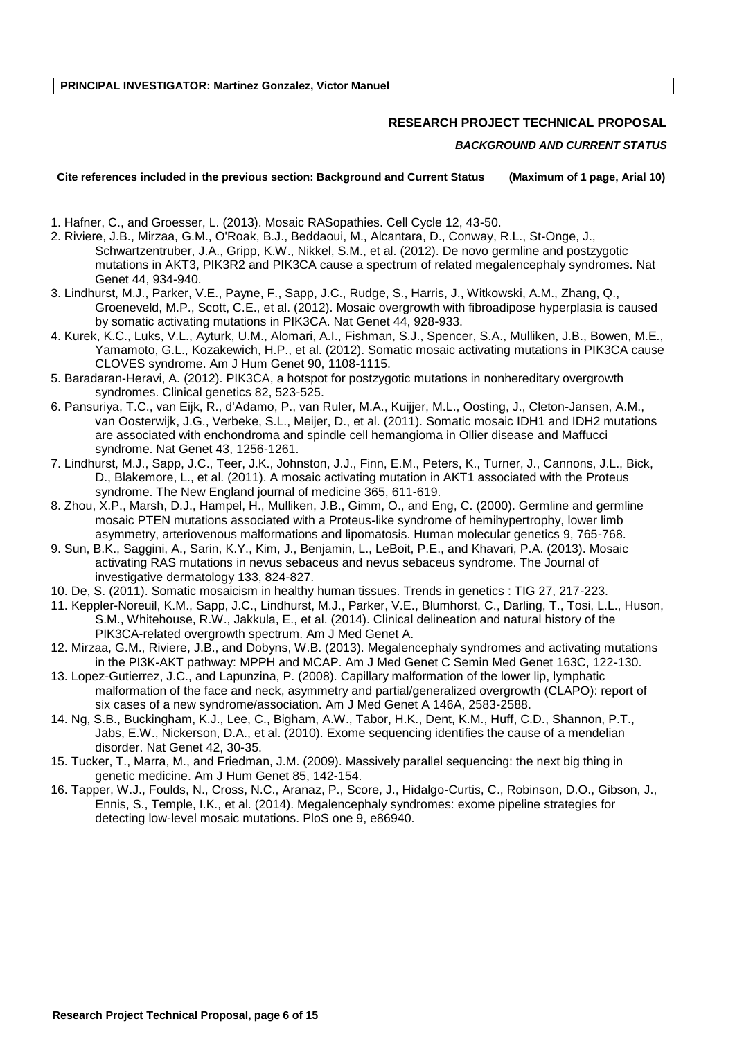## **RESEARCH PROJECT TECHNICAL PROPOSAL**

## *BACKGROUND AND CURRENT STATUS*

**Cite references included in the previous section: Background and Current Status (Maximum of 1 page, Arial 10)**

- <span id="page-5-0"></span>1. Hafner, C., and Groesser, L. (2013). Mosaic RASopathies. Cell Cycle 12, 43-50.
- <span id="page-5-2"></span>2. Riviere, J.B., Mirzaa, G.M., O'Roak, B.J., Beddaoui, M., Alcantara, D., Conway, R.L., St-Onge, J., Schwartzentruber, J.A., Gripp, K.W., Nikkel, S.M., et al. (2012). De novo germline and postzygotic mutations in AKT3, PIK3R2 and PIK3CA cause a spectrum of related megalencephaly syndromes. Nat Genet 44, 934-940.
- 3. Lindhurst, M.J., Parker, V.E., Payne, F., Sapp, J.C., Rudge, S., Harris, J., Witkowski, A.M., Zhang, Q., Groeneveld, M.P., Scott, C.E., et al. (2012). Mosaic overgrowth with fibroadipose hyperplasia is caused by somatic activating mutations in PIK3CA. Nat Genet 44, 928-933.
- <span id="page-5-11"></span>4. Kurek, K.C., Luks, V.L., Ayturk, U.M., Alomari, A.I., Fishman, S.J., Spencer, S.A., Mulliken, J.B., Bowen, M.E., Yamamoto, G.L., Kozakewich, H.P., et al. (2012). Somatic mosaic activating mutations in PIK3CA cause CLOVES syndrome. Am J Hum Genet 90, 1108-1115.
- 5. Baradaran-Heravi, A. (2012). PIK3CA, a hotspot for postzygotic mutations in nonhereditary overgrowth syndromes. Clinical genetics 82, 523-525.
- 6. Pansuriya, T.C., van Eijk, R., d'Adamo, P., van Ruler, M.A., Kuijjer, M.L., Oosting, J., Cleton-Jansen, A.M., van Oosterwijk, J.G., Verbeke, S.L., Meijer, D., et al. (2011). Somatic mosaic IDH1 and IDH2 mutations are associated with enchondroma and spindle cell hemangioma in Ollier disease and Maffucci syndrome. Nat Genet 43, 1256-1261.
- <span id="page-5-1"></span>7. Lindhurst, M.J., Sapp, J.C., Teer, J.K., Johnston, J.J., Finn, E.M., Peters, K., Turner, J., Cannons, J.L., Bick, D., Blakemore, L., et al. (2011). A mosaic activating mutation in AKT1 associated with the Proteus syndrome. The New England journal of medicine 365, 611-619.
- <span id="page-5-3"></span>8. Zhou, X.P., Marsh, D.J., Hampel, H., Mulliken, J.B., Gimm, O., and Eng, C. (2000). Germline and germline mosaic PTEN mutations associated with a Proteus-like syndrome of hemihypertrophy, lower limb asymmetry, arteriovenous malformations and lipomatosis. Human molecular genetics 9, 765-768.
- <span id="page-5-4"></span>9. Sun, B.K., Saggini, A., Sarin, K.Y., Kim, J., Benjamin, L., LeBoit, P.E., and Khavari, P.A. (2013). Mosaic activating RAS mutations in nevus sebaceus and nevus sebaceus syndrome. The Journal of investigative dermatology 133, 824-827.
- <span id="page-5-5"></span>10. De, S. (2011). Somatic mosaicism in healthy human tissues. Trends in genetics : TIG 27, 217-223.
- <span id="page-5-6"></span>11. Keppler-Noreuil, K.M., Sapp, J.C., Lindhurst, M.J., Parker, V.E., Blumhorst, C., Darling, T., Tosi, L.L., Huson, S.M., Whitehouse, R.W., Jakkula, E., et al. (2014). Clinical delineation and natural history of the PIK3CA-related overgrowth spectrum. Am J Med Genet A.
- <span id="page-5-7"></span>12. Mirzaa, G.M., Riviere, J.B., and Dobyns, W.B. (2013). Megalencephaly syndromes and activating mutations in the PI3K-AKT pathway: MPPH and MCAP. Am J Med Genet C Semin Med Genet 163C, 122-130.
- <span id="page-5-8"></span>13. Lopez-Gutierrez, J.C., and Lapunzina, P. (2008). Capillary malformation of the lower lip, lymphatic malformation of the face and neck, asymmetry and partial/generalized overgrowth (CLAPO): report of six cases of a new syndrome/association. Am J Med Genet A 146A, 2583-2588.
- <span id="page-5-9"></span>14. Ng, S.B., Buckingham, K.J., Lee, C., Bigham, A.W., Tabor, H.K., Dent, K.M., Huff, C.D., Shannon, P.T., Jabs, E.W., Nickerson, D.A., et al. (2010). Exome sequencing identifies the cause of a mendelian disorder. Nat Genet 42, 30-35.
- <span id="page-5-10"></span>15. Tucker, T., Marra, M., and Friedman, J.M. (2009). Massively parallel sequencing: the next big thing in genetic medicine. Am J Hum Genet 85, 142-154.
- <span id="page-5-12"></span>16. Tapper, W.J., Foulds, N., Cross, N.C., Aranaz, P., Score, J., Hidalgo-Curtis, C., Robinson, D.O., Gibson, J., Ennis, S., Temple, I.K., et al. (2014). Megalencephaly syndromes: exome pipeline strategies for detecting low-level mosaic mutations. PloS one 9, e86940.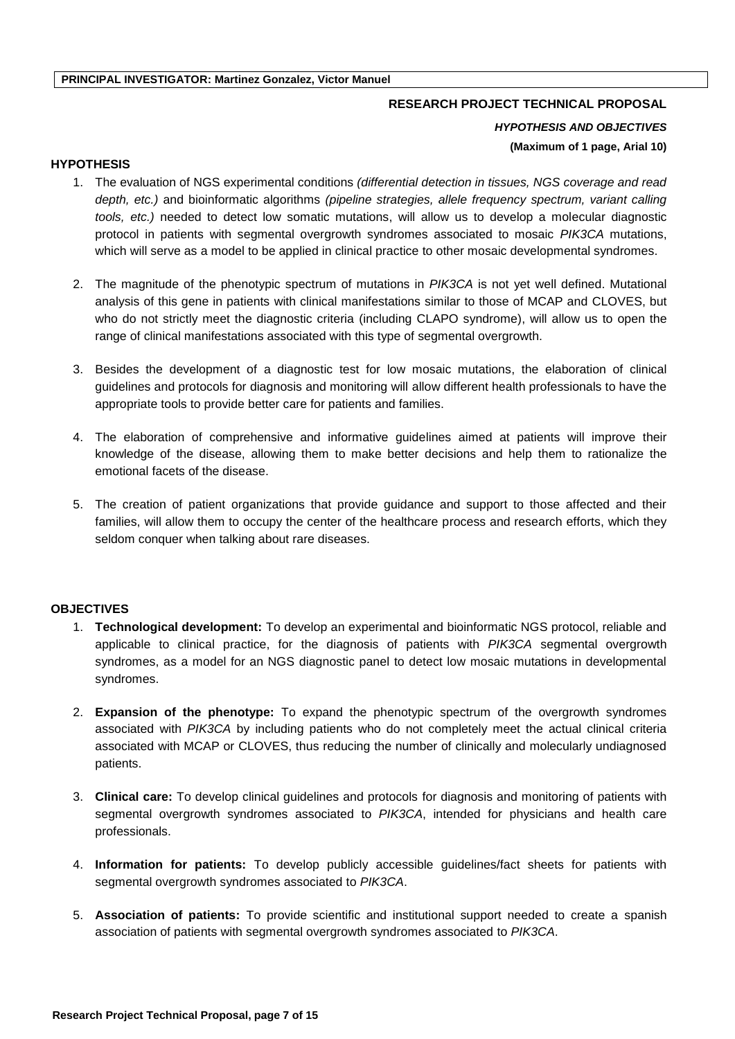## **RESEARCH PROJECT TECHNICAL PROPOSAL**

*HYPOTHESIS AND OBJECTIVES* **(Maximum of 1 page, Arial 10)**

## **HYPOTHESIS**

- 1. The evaluation of NGS experimental conditions *(differential detection in tissues, NGS coverage and read depth, etc.)* and bioinformatic algorithms *(pipeline strategies, allele frequency spectrum, variant calling tools, etc.)* needed to detect low somatic mutations, will allow us to develop a molecular diagnostic protocol in patients with segmental overgrowth syndromes associated to mosaic *PIK3CA* mutations, which will serve as a model to be applied in clinical practice to other mosaic developmental syndromes.
- 2. The magnitude of the phenotypic spectrum of mutations in *PIK3CA* is not yet well defined. Mutational analysis of this gene in patients with clinical manifestations similar to those of MCAP and CLOVES, but who do not strictly meet the diagnostic criteria (including CLAPO syndrome), will allow us to open the range of clinical manifestations associated with this type of segmental overgrowth.
- 3. Besides the development of a diagnostic test for low mosaic mutations, the elaboration of clinical guidelines and protocols for diagnosis and monitoring will allow different health professionals to have the appropriate tools to provide better care for patients and families.
- 4. The elaboration of comprehensive and informative guidelines aimed at patients will improve their knowledge of the disease, allowing them to make better decisions and help them to rationalize the emotional facets of the disease.
- 5. The creation of patient organizations that provide guidance and support to those affected and their families, will allow them to occupy the center of the healthcare process and research efforts, which they seldom conquer when talking about rare diseases.

## **OBJECTIVES**

- 1. **Technological development:** To develop an experimental and bioinformatic NGS protocol, reliable and applicable to clinical practice, for the diagnosis of patients with *PIK3CA* segmental overgrowth syndromes, as a model for an NGS diagnostic panel to detect low mosaic mutations in developmental syndromes.
- 2. **Expansion of the phenotype:** To expand the phenotypic spectrum of the overgrowth syndromes associated with *PIK3CA* by including patients who do not completely meet the actual clinical criteria associated with MCAP or CLOVES, thus reducing the number of clinically and molecularly undiagnosed patients.
- 3. **Clinical care:** To develop clinical guidelines and protocols for diagnosis and monitoring of patients with segmental overgrowth syndromes associated to *PIK3CA*, intended for physicians and health care professionals.
- 4. **Information for patients:** To develop publicly accessible guidelines/fact sheets for patients with segmental overgrowth syndromes associated to *PIK3CA*.
- 5. **Association of patients:** To provide scientific and institutional support needed to create a spanish association of patients with segmental overgrowth syndromes associated to *PIK3CA*.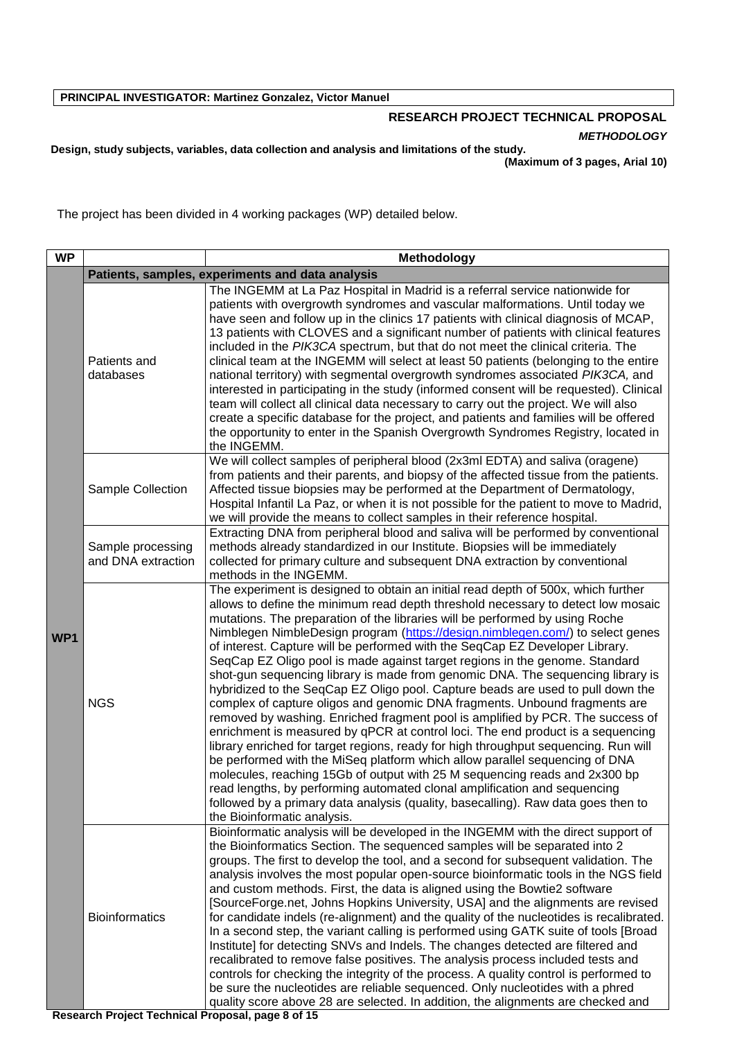# **RESEARCH PROJECT TECHNICAL PROPOSAL** *METHODOLOGY*

**Design, study subjects, variables, data collection and analysis and limitations of the study. (Maximum of 3 pages, Arial 10)**

The project has been divided in 4 working packages (WP) detailed below.

| <b>WP</b> | Methodology                             |                                                                                                                                                                                                                                                                                                                                                                                                                                                                                                                                                                                                                                                                                                                                                                                                                                                                                                                                                                                                                                                                                                                                                                                                                                                                                                                                                                                      |  |  |  |  |  |  |  |
|-----------|-----------------------------------------|--------------------------------------------------------------------------------------------------------------------------------------------------------------------------------------------------------------------------------------------------------------------------------------------------------------------------------------------------------------------------------------------------------------------------------------------------------------------------------------------------------------------------------------------------------------------------------------------------------------------------------------------------------------------------------------------------------------------------------------------------------------------------------------------------------------------------------------------------------------------------------------------------------------------------------------------------------------------------------------------------------------------------------------------------------------------------------------------------------------------------------------------------------------------------------------------------------------------------------------------------------------------------------------------------------------------------------------------------------------------------------------|--|--|--|--|--|--|--|
|           |                                         | Patients, samples, experiments and data analysis                                                                                                                                                                                                                                                                                                                                                                                                                                                                                                                                                                                                                                                                                                                                                                                                                                                                                                                                                                                                                                                                                                                                                                                                                                                                                                                                     |  |  |  |  |  |  |  |
| WP1       | Patients and<br>databases               | The INGEMM at La Paz Hospital in Madrid is a referral service nationwide for<br>patients with overgrowth syndromes and vascular malformations. Until today we<br>have seen and follow up in the clinics 17 patients with clinical diagnosis of MCAP,<br>13 patients with CLOVES and a significant number of patients with clinical features<br>included in the PIK3CA spectrum, but that do not meet the clinical criteria. The<br>clinical team at the INGEMM will select at least 50 patients (belonging to the entire<br>national territory) with segmental overgrowth syndromes associated PIK3CA, and<br>interested in participating in the study (informed consent will be requested). Clinical<br>team will collect all clinical data necessary to carry out the project. We will also<br>create a specific database for the project, and patients and families will be offered<br>the opportunity to enter in the Spanish Overgrowth Syndromes Registry, located in<br>the INGEMM.                                                                                                                                                                                                                                                                                                                                                                                           |  |  |  |  |  |  |  |
|           | Sample Collection                       | We will collect samples of peripheral blood (2x3ml EDTA) and saliva (oragene)<br>from patients and their parents, and biopsy of the affected tissue from the patients.<br>Affected tissue biopsies may be performed at the Department of Dermatology,<br>Hospital Infantil La Paz, or when it is not possible for the patient to move to Madrid,<br>we will provide the means to collect samples in their reference hospital.                                                                                                                                                                                                                                                                                                                                                                                                                                                                                                                                                                                                                                                                                                                                                                                                                                                                                                                                                        |  |  |  |  |  |  |  |
|           | Sample processing<br>and DNA extraction | Extracting DNA from peripheral blood and saliva will be performed by conventional<br>methods already standardized in our Institute. Biopsies will be immediately<br>collected for primary culture and subsequent DNA extraction by conventional<br>methods in the INGEMM.                                                                                                                                                                                                                                                                                                                                                                                                                                                                                                                                                                                                                                                                                                                                                                                                                                                                                                                                                                                                                                                                                                            |  |  |  |  |  |  |  |
|           | <b>NGS</b>                              | The experiment is designed to obtain an initial read depth of 500x, which further<br>allows to define the minimum read depth threshold necessary to detect low mosaic<br>mutations. The preparation of the libraries will be performed by using Roche<br>Nimblegen NimbleDesign program (https://design.nimblegen.com/) to select genes<br>of interest. Capture will be performed with the SeqCap EZ Developer Library.<br>SeqCap EZ Oligo pool is made against target regions in the genome. Standard<br>shot-gun sequencing library is made from genomic DNA. The sequencing library is<br>hybridized to the SeqCap EZ Oligo pool. Capture beads are used to pull down the<br>complex of capture oligos and genomic DNA fragments. Unbound fragments are<br>removed by washing. Enriched fragment pool is amplified by PCR. The success of<br>enrichment is measured by qPCR at control loci. The end product is a sequencing<br>library enriched for target regions, ready for high throughput sequencing. Run will<br>be performed with the MiSeq platform which allow parallel sequencing of DNA<br>molecules, reaching 15Gb of output with 25 M sequencing reads and 2x300 bp<br>read lengths, by performing automated clonal amplification and sequencing<br>followed by a primary data analysis (quality, basecalling). Raw data goes then to<br>the Bioinformatic analysis. |  |  |  |  |  |  |  |
|           | <b>Bioinformatics</b>                   | Bioinformatic analysis will be developed in the INGEMM with the direct support of<br>the Bioinformatics Section. The sequenced samples will be separated into 2<br>groups. The first to develop the tool, and a second for subsequent validation. The<br>analysis involves the most popular open-source bioinformatic tools in the NGS field<br>and custom methods. First, the data is aligned using the Bowtie2 software<br>[SourceForge.net, Johns Hopkins University, USA] and the alignments are revised<br>for candidate indels (re-alignment) and the quality of the nucleotides is recalibrated.<br>In a second step, the variant calling is performed using GATK suite of tools [Broad<br>Institute] for detecting SNVs and Indels. The changes detected are filtered and<br>recalibrated to remove false positives. The analysis process included tests and<br>controls for checking the integrity of the process. A quality control is performed to<br>be sure the nucleotides are reliable sequenced. Only nucleotides with a phred<br>quality score above 28 are selected. In addition, the alignments are checked and                                                                                                                                                                                                                                                   |  |  |  |  |  |  |  |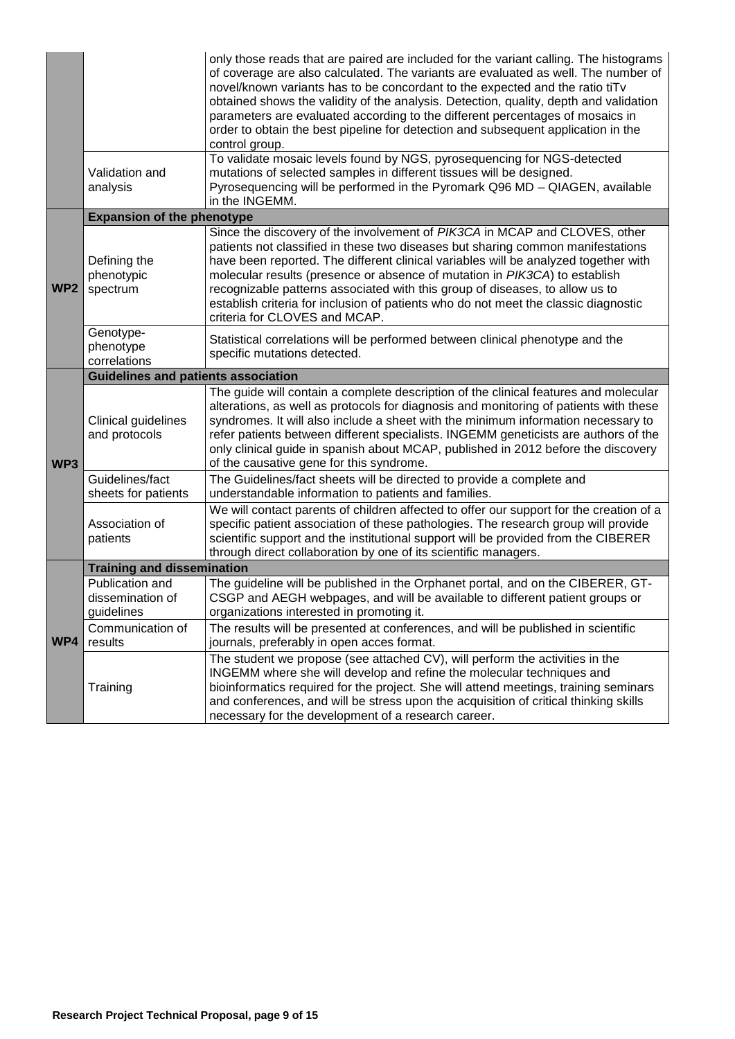|                 |                                                                                                                                                                                                                                                                   | only those reads that are paired are included for the variant calling. The histograms<br>of coverage are also calculated. The variants are evaluated as well. The number of<br>novel/known variants has to be concordant to the expected and the ratio tiTv<br>obtained shows the validity of the analysis. Detection, quality, depth and validation<br>parameters are evaluated according to the different percentages of mosaics in<br>order to obtain the best pipeline for detection and subsequent application in the<br>control group.<br>To validate mosaic levels found by NGS, pyrosequencing for NGS-detected |  |  |  |  |  |  |  |  |
|-----------------|-------------------------------------------------------------------------------------------------------------------------------------------------------------------------------------------------------------------------------------------------------------------|-------------------------------------------------------------------------------------------------------------------------------------------------------------------------------------------------------------------------------------------------------------------------------------------------------------------------------------------------------------------------------------------------------------------------------------------------------------------------------------------------------------------------------------------------------------------------------------------------------------------------|--|--|--|--|--|--|--|--|
|                 | Validation and<br>analysis                                                                                                                                                                                                                                        | mutations of selected samples in different tissues will be designed.<br>Pyrosequencing will be performed in the Pyromark Q96 MD - QIAGEN, available<br>in the INGEMM.                                                                                                                                                                                                                                                                                                                                                                                                                                                   |  |  |  |  |  |  |  |  |
|                 | <b>Expansion of the phenotype</b>                                                                                                                                                                                                                                 |                                                                                                                                                                                                                                                                                                                                                                                                                                                                                                                                                                                                                         |  |  |  |  |  |  |  |  |
| WP <sub>2</sub> | Defining the<br>phenotypic<br>spectrum                                                                                                                                                                                                                            | Since the discovery of the involvement of PIK3CA in MCAP and CLOVES, other<br>patients not classified in these two diseases but sharing common manifestations<br>have been reported. The different clinical variables will be analyzed together with<br>molecular results (presence or absence of mutation in PIK3CA) to establish<br>recognizable patterns associated with this group of diseases, to allow us to<br>establish criteria for inclusion of patients who do not meet the classic diagnostic<br>criteria for CLOVES and MCAP.                                                                              |  |  |  |  |  |  |  |  |
|                 | Genotype-<br>phenotype<br>correlations                                                                                                                                                                                                                            | Statistical correlations will be performed between clinical phenotype and the<br>specific mutations detected.                                                                                                                                                                                                                                                                                                                                                                                                                                                                                                           |  |  |  |  |  |  |  |  |
| WP3             | <b>Guidelines and patients association</b>                                                                                                                                                                                                                        |                                                                                                                                                                                                                                                                                                                                                                                                                                                                                                                                                                                                                         |  |  |  |  |  |  |  |  |
|                 | Clinical guidelines<br>and protocols                                                                                                                                                                                                                              | The guide will contain a complete description of the clinical features and molecular<br>alterations, as well as protocols for diagnosis and monitoring of patients with these<br>syndromes. It will also include a sheet with the minimum information necessary to<br>refer patients between different specialists. INGEMM geneticists are authors of the<br>only clinical guide in spanish about MCAP, published in 2012 before the discovery<br>of the causative gene for this syndrome.                                                                                                                              |  |  |  |  |  |  |  |  |
|                 | Guidelines/fact<br>sheets for patients                                                                                                                                                                                                                            | The Guidelines/fact sheets will be directed to provide a complete and<br>understandable information to patients and families.                                                                                                                                                                                                                                                                                                                                                                                                                                                                                           |  |  |  |  |  |  |  |  |
|                 | Association of<br>patients                                                                                                                                                                                                                                        | We will contact parents of children affected to offer our support for the creation of a<br>specific patient association of these pathologies. The research group will provide<br>scientific support and the institutional support will be provided from the CIBERER<br>through direct collaboration by one of its scientific managers.                                                                                                                                                                                                                                                                                  |  |  |  |  |  |  |  |  |
|                 | <b>Training and dissemination</b>                                                                                                                                                                                                                                 |                                                                                                                                                                                                                                                                                                                                                                                                                                                                                                                                                                                                                         |  |  |  |  |  |  |  |  |
|                 | Publication and<br>The guideline will be published in the Orphanet portal, and on the CIBERER, GT-<br>CSGP and AEGH webpages, and will be available to different patient groups or<br>dissemination of<br>guidelines<br>organizations interested in promoting it. |                                                                                                                                                                                                                                                                                                                                                                                                                                                                                                                                                                                                                         |  |  |  |  |  |  |  |  |
| WP4             | Communication of<br>results                                                                                                                                                                                                                                       | The results will be presented at conferences, and will be published in scientific<br>journals, preferably in open acces format.                                                                                                                                                                                                                                                                                                                                                                                                                                                                                         |  |  |  |  |  |  |  |  |
|                 | Training                                                                                                                                                                                                                                                          | The student we propose (see attached CV), will perform the activities in the<br>INGEMM where she will develop and refine the molecular techniques and<br>bioinformatics required for the project. She will attend meetings, training seminars<br>and conferences, and will be stress upon the acquisition of critical thinking skills<br>necessary for the development of a research career.                                                                                                                                                                                                                            |  |  |  |  |  |  |  |  |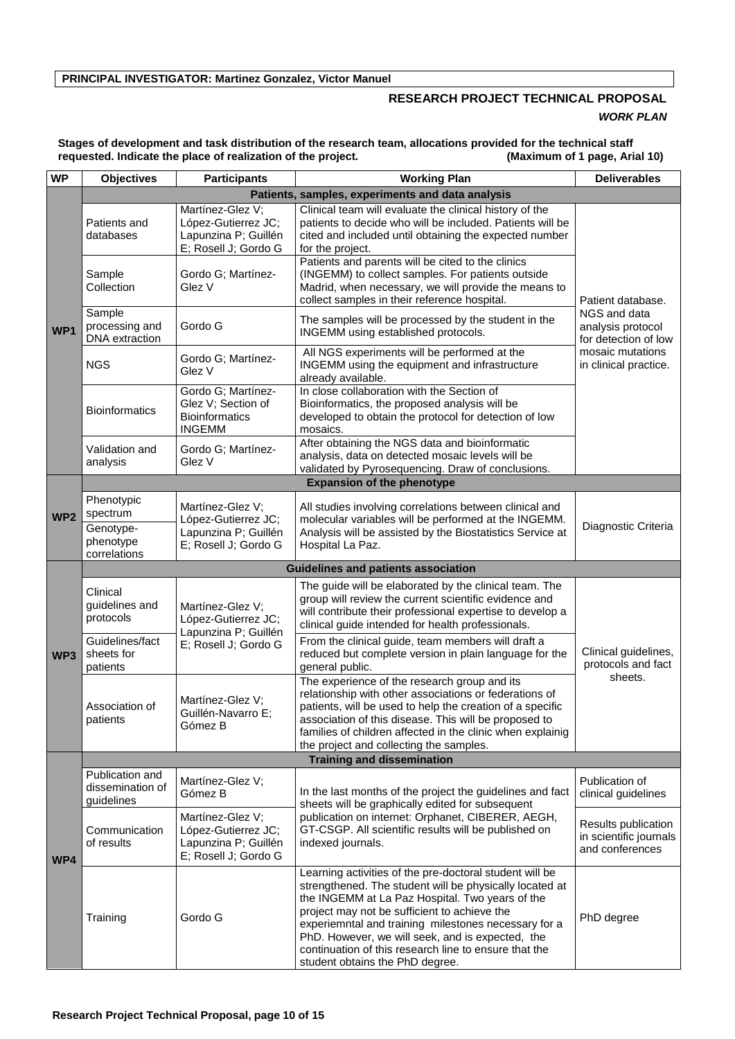## **RESEARCH PROJECT TECHNICAL PROPOSAL** *WORK PLAN*

**Stages of development and task distribution of the research team, allocations provided for the technical staff**  requested. Indicate the place of realization of the project.

| <b>WP</b>       | <b>Objectives</b>                                                                                           | <b>Deliverables</b>                                                                     |                                                                                                                                                                                                                                                                                                                                                                                                                               |                                                                                                        |  |  |  |  |  |  |  |
|-----------------|-------------------------------------------------------------------------------------------------------------|-----------------------------------------------------------------------------------------|-------------------------------------------------------------------------------------------------------------------------------------------------------------------------------------------------------------------------------------------------------------------------------------------------------------------------------------------------------------------------------------------------------------------------------|--------------------------------------------------------------------------------------------------------|--|--|--|--|--|--|--|
|                 |                                                                                                             | Patients, samples, experiments and data analysis                                        |                                                                                                                                                                                                                                                                                                                                                                                                                               |                                                                                                        |  |  |  |  |  |  |  |
| WP1             | Patients and<br>databases                                                                                   | Martínez-Glez V;<br>López-Gutierrez JC;<br>Lapunzina P; Guillén<br>E; Rosell J; Gordo G | Clinical team will evaluate the clinical history of the<br>patients to decide who will be included. Patients will be<br>cited and included until obtaining the expected number<br>for the project.                                                                                                                                                                                                                            |                                                                                                        |  |  |  |  |  |  |  |
|                 | Sample<br>Collection                                                                                        | Gordo G; Martínez-<br>Glez V                                                            | Patients and parents will be cited to the clinics<br>(INGEMM) to collect samples. For patients outside<br>Madrid, when necessary, we will provide the means to<br>collect samples in their reference hospital.                                                                                                                                                                                                                | Patient database.                                                                                      |  |  |  |  |  |  |  |
|                 | Sample<br>processing and<br>DNA extraction                                                                  | Gordo G                                                                                 | The samples will be processed by the student in the<br>INGEMM using established protocols.                                                                                                                                                                                                                                                                                                                                    | NGS and data<br>analysis protocol<br>for detection of low<br>mosaic mutations<br>in clinical practice. |  |  |  |  |  |  |  |
|                 | <b>NGS</b>                                                                                                  | Gordo G; Martínez-<br>Glez V                                                            | All NGS experiments will be performed at the<br>INGEMM using the equipment and infrastructure<br>already available.                                                                                                                                                                                                                                                                                                           |                                                                                                        |  |  |  |  |  |  |  |
|                 | Gordo G; Martínez-<br>Glez V; Section of<br><b>Bioinformatics</b><br><b>Bioinformatics</b><br><b>INGEMM</b> |                                                                                         | In close collaboration with the Section of<br>Bioinformatics, the proposed analysis will be<br>developed to obtain the protocol for detection of low<br>mosaics.                                                                                                                                                                                                                                                              |                                                                                                        |  |  |  |  |  |  |  |
|                 | Validation and<br>analysis                                                                                  | Gordo G; Martínez-<br>Glez V                                                            | After obtaining the NGS data and bioinformatic<br>analysis, data on detected mosaic levels will be<br>validated by Pyrosequencing. Draw of conclusions.                                                                                                                                                                                                                                                                       |                                                                                                        |  |  |  |  |  |  |  |
|                 |                                                                                                             |                                                                                         | <b>Expansion of the phenotype</b>                                                                                                                                                                                                                                                                                                                                                                                             |                                                                                                        |  |  |  |  |  |  |  |
| WP <sub>2</sub> | Phenotypic<br>spectrum                                                                                      | Martínez-Glez V;<br>López-Gutierrez JC;                                                 | All studies involving correlations between clinical and<br>molecular variables will be performed at the INGEMM.                                                                                                                                                                                                                                                                                                               | Diagnostic Criteria                                                                                    |  |  |  |  |  |  |  |
|                 | Genotype-<br>phenotype<br>correlations                                                                      | Lapunzina P; Guillén<br>E; Rosell J; Gordo G                                            | Analysis will be assisted by the Biostatistics Service at<br>Hospital La Paz.                                                                                                                                                                                                                                                                                                                                                 |                                                                                                        |  |  |  |  |  |  |  |
|                 |                                                                                                             |                                                                                         | <b>Guidelines and patients association</b>                                                                                                                                                                                                                                                                                                                                                                                    |                                                                                                        |  |  |  |  |  |  |  |
|                 | Clinical<br>guidelines and<br>protocols                                                                     | Martínez-Glez V;<br>López-Gutierrez JC;<br>Lapunzina P; Guillén                         | The guide will be elaborated by the clinical team. The<br>group will review the current scientific evidence and<br>will contribute their professional expertise to develop a<br>clinical guide intended for health professionals.                                                                                                                                                                                             | Clinical guidelines,<br>protocols and fact<br>sheets.                                                  |  |  |  |  |  |  |  |
| WP3             | Guidelines/fact<br>sheets for<br>patients                                                                   | E; Rosell J; Gordo G                                                                    | From the clinical guide, team members will draft a<br>reduced but complete version in plain language for the<br>general public.                                                                                                                                                                                                                                                                                               |                                                                                                        |  |  |  |  |  |  |  |
|                 | Association of<br>patients                                                                                  | Martínez-Glez V;<br>Guillén-Navarro E;<br>Gómez B                                       | The experience of the research group and its<br>relationship with other associations or federations of<br>patients, will be used to help the creation of a specific<br>association of this disease. This will be proposed to<br>families of children affected in the clinic when explainig<br>the project and collecting the samples.                                                                                         |                                                                                                        |  |  |  |  |  |  |  |
|                 |                                                                                                             |                                                                                         | <b>Training and dissemination</b>                                                                                                                                                                                                                                                                                                                                                                                             |                                                                                                        |  |  |  |  |  |  |  |
|                 | Publication and<br>dissemination of<br>guidelines                                                           | Martínez-Glez V;<br>Gómez B                                                             | In the last months of the project the guidelines and fact<br>sheets will be graphically edited for subsequent                                                                                                                                                                                                                                                                                                                 | Publication of<br>clinical guidelines                                                                  |  |  |  |  |  |  |  |
| WP4             | Communication<br>of results                                                                                 | Martínez-Glez V;<br>López-Gutierrez JC;<br>Lapunzina P; Guillén<br>E; Rosell J; Gordo G | publication on internet: Orphanet, CIBERER, AEGH,<br>GT-CSGP. All scientific results will be published on<br>indexed journals.                                                                                                                                                                                                                                                                                                | Results publication<br>in scientific journals<br>and conferences                                       |  |  |  |  |  |  |  |
|                 | Training                                                                                                    | Gordo G                                                                                 | Learning activities of the pre-doctoral student will be<br>strengthened. The student will be physically located at<br>the INGEMM at La Paz Hospital. Two years of the<br>project may not be sufficient to achieve the<br>experiemntal and training milestones necessary for a<br>PhD. However, we will seek, and is expected, the<br>continuation of this research line to ensure that the<br>student obtains the PhD degree. | PhD degree                                                                                             |  |  |  |  |  |  |  |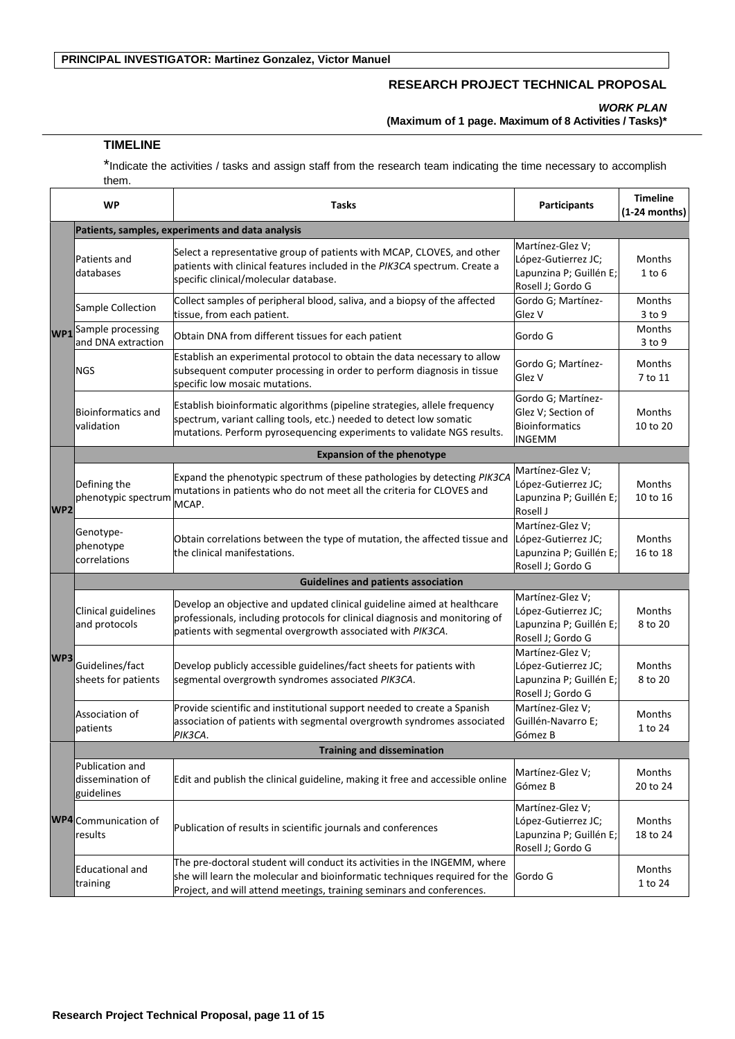## **RESEARCH PROJECT TECHNICAL PROPOSAL**

*WORK PLAN*

**(Maximum of 1 page. Maximum of 8 Activities / Tasks)\***

#### **TIMELINE**

\*Indicate the activities / tasks and assign staff from the research team indicating the time necessary to accomplish them.

|                 | <b>WP</b>                                          | <b>Tasks</b>                                                                                                                                                                                                                     | <b>Participants</b>                                                                     | <b>Timeline</b><br>$(1-24$ months) |  |  |  |  |
|-----------------|----------------------------------------------------|----------------------------------------------------------------------------------------------------------------------------------------------------------------------------------------------------------------------------------|-----------------------------------------------------------------------------------------|------------------------------------|--|--|--|--|
|                 |                                                    | Patients, samples, experiments and data analysis                                                                                                                                                                                 |                                                                                         |                                    |  |  |  |  |
|                 | Patients and<br>databases                          | Select a representative group of patients with MCAP, CLOVES, and other<br>patients with clinical features included in the PIK3CA spectrum. Create a<br>specific clinical/molecular database.                                     | Martínez-Glez V;<br>López-Gutierrez JC;<br>Lapunzina P; Guillén E;<br>Rosell J; Gordo G | <b>Months</b><br>$1$ to $6$        |  |  |  |  |
|                 | Sample Collection                                  | Collect samples of peripheral blood, saliva, and a biopsy of the affected<br>Gordo G; Martínez-<br>tissue, from each patient.<br>Glez V                                                                                          |                                                                                         |                                    |  |  |  |  |
|                 | <b>WP1</b> Sample processing<br>and DNA extraction | Obtain DNA from different tissues for each patient                                                                                                                                                                               | Gordo G                                                                                 | Months<br>$3$ to $9$               |  |  |  |  |
|                 | <b>NGS</b>                                         | Establish an experimental protocol to obtain the data necessary to allow<br>subsequent computer processing in order to perform diagnosis in tissue<br>specific low mosaic mutations.                                             | Gordo G; Martínez-<br>Glez V                                                            | Months<br>7 to 11                  |  |  |  |  |
|                 | <b>Bioinformatics and</b><br>validation            | Establish bioinformatic algorithms (pipeline strategies, allele frequency<br>spectrum, variant calling tools, etc.) needed to detect low somatic<br>mutations. Perform pyrosequencing experiments to validate NGS results.       | Gordo G; Martínez-<br>Glez V; Section of<br><b>Bioinformatics</b><br><b>INGEMM</b>      | <b>Months</b><br>10 to 20          |  |  |  |  |
|                 |                                                    | <b>Expansion of the phenotype</b>                                                                                                                                                                                                |                                                                                         |                                    |  |  |  |  |
| WP <sub>2</sub> | Defining the<br>phenotypic spectrum                | Expand the phenotypic spectrum of these pathologies by detecting PIK3CA<br>mutations in patients who do not meet all the criteria for CLOVES and<br>MCAP.                                                                        | Martínez-Glez V;<br>López-Gutierrez JC;<br>Lapunzina P; Guillén E;<br>Rosell J          | Months<br>10 to 16                 |  |  |  |  |
|                 | Genotype-<br>phenotype<br>correlations             | Obtain correlations between the type of mutation, the affected tissue and<br>the clinical manifestations.                                                                                                                        | Martínez-Glez V;<br>López-Gutierrez JC;<br>Lapunzina P; Guillén E;<br>Rosell J; Gordo G | <b>Months</b><br>16 to 18          |  |  |  |  |
| <b>WP3</b>      |                                                    | <b>Guidelines and patients association</b>                                                                                                                                                                                       |                                                                                         |                                    |  |  |  |  |
|                 | Clinical guidelines<br>and protocols               | Develop an objective and updated clinical guideline aimed at healthcare<br>professionals, including protocols for clinical diagnosis and monitoring of<br>patients with segmental overgrowth associated with PIK3CA.             | Martínez-Glez V;<br>López-Gutierrez JC;<br>Lapunzina P; Guillén E;<br>Rosell J; Gordo G | Months<br>8 to 20                  |  |  |  |  |
|                 | Guidelines/fact<br>sheets for patients             | Develop publicly accessible guidelines/fact sheets for patients with<br>segmental overgrowth syndromes associated PIK3CA.                                                                                                        | Martínez-Glez V;<br>López-Gutierrez JC;<br>Lapunzina P; Guillén E;<br>Rosell J; Gordo G | <b>Months</b><br>8 to 20           |  |  |  |  |
|                 | Association of<br>patients                         | Provide scientific and institutional support needed to create a Spanish<br>association of patients with segmental overgrowth syndromes associated<br>РІКЗСА.                                                                     | Martínez-Glez V;<br>Guillén-Navarro E;<br>Gómez B                                       | Months<br>1 to 24                  |  |  |  |  |
|                 |                                                    | <b>Training and dissemination</b>                                                                                                                                                                                                |                                                                                         |                                    |  |  |  |  |
|                 | Publication and<br>dissemination of<br>guidelines  | Edit and publish the clinical guideline, making it free and accessible online                                                                                                                                                    | Martínez-Glez V;<br>Gómez B                                                             | Months<br>20 to 24                 |  |  |  |  |
|                 | <b>WP4</b> Communication of<br>results             | Publication of results in scientific journals and conferences                                                                                                                                                                    | Martínez-Glez V;<br>López-Gutierrez JC;<br>Lapunzina P; Guillén E;<br>Rosell J; Gordo G | Months<br>18 to 24                 |  |  |  |  |
|                 | <b>Educational and</b><br>training                 | The pre-doctoral student will conduct its activities in the INGEMM, where<br>she will learn the molecular and bioinformatic techniques required for the<br>Project, and will attend meetings, training seminars and conferences. | Gordo G                                                                                 | Months<br>1 to 24                  |  |  |  |  |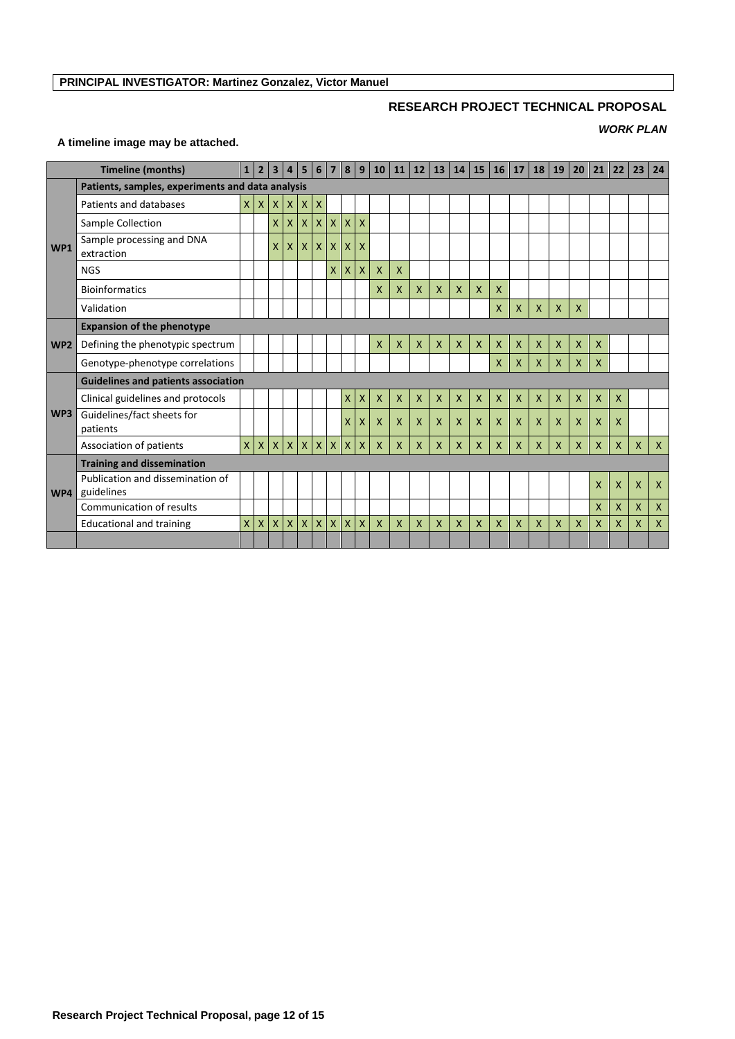## **RESEARCH PROJECT TECHNICAL PROPOSAL**

## *WORK PLAN*

## **A timeline image may be attached.**

| <b>Timeline (months)</b> |                                                  | 1 <sup>1</sup> | $\overline{2}$ | $\overline{3}$     | 4            | 5            | 6                  | $\overline{7}$     | 8            | 9            | 10           |              | $11 \mid 12 \mid$ | 13           |                           | 14 15        | 16           | 17                        | 18           | 19           | 20           | 21           | 22           | 23           | 24           |
|--------------------------|--------------------------------------------------|----------------|----------------|--------------------|--------------|--------------|--------------------|--------------------|--------------|--------------|--------------|--------------|-------------------|--------------|---------------------------|--------------|--------------|---------------------------|--------------|--------------|--------------|--------------|--------------|--------------|--------------|
|                          | Patients, samples, experiments and data analysis |                |                |                    |              |              |                    |                    |              |              |              |              |                   |              |                           |              |              |                           |              |              |              |              |              |              |              |
| WP1                      | Patients and databases                           | $\times$       | $\mathsf{X}$   |                    | X X          | $\mathsf{X}$ | $\mathsf{x}$       |                    |              |              |              |              |                   |              |                           |              |              |                           |              |              |              |              |              |              |              |
|                          | Sample Collection                                |                |                | $\mathsf{x}$       | X            | $\mathsf{X}$ | $\mathsf{x}$       | $\mathsf{x}$       | $\mathsf{X}$ | $\mathsf{x}$ |              |              |                   |              |                           |              |              |                           |              |              |              |              |              |              |              |
|                          | Sample processing and DNA<br>extraction          |                |                | X                  | X            | $\mathsf{X}$ | $\mathsf{x}$       | X                  | X            | X            |              |              |                   |              |                           |              |              |                           |              |              |              |              |              |              |              |
|                          | <b>NGS</b>                                       |                |                |                    |              |              |                    | X.                 | X            | X            | X            | $\mathsf{X}$ |                   |              |                           |              |              |                           |              |              |              |              |              |              |              |
|                          | <b>Bioinformatics</b>                            |                |                |                    |              |              |                    |                    |              |              | X            | X            | X                 | $\mathsf{x}$ | $\overline{X}$            | $\mathsf{x}$ | $\mathsf{x}$ |                           |              |              |              |              |              |              |              |
|                          | Validation                                       |                |                |                    |              |              |                    |                    |              |              |              |              |                   |              |                           |              | $\mathsf{x}$ | X                         | $\mathsf{X}$ | X            | X            |              |              |              |              |
|                          | <b>Expansion of the phenotype</b>                |                |                |                    |              |              |                    |                    |              |              |              |              |                   |              |                           |              |              |                           |              |              |              |              |              |              |              |
| WP <sub>2</sub>          | Defining the phenotypic spectrum                 |                |                |                    |              |              |                    |                    |              |              | X            | $\mathsf{X}$ | X                 | $\mathsf{x}$ | $\boldsymbol{\mathsf{X}}$ | $\mathsf{x}$ | $\mathsf{x}$ | $\boldsymbol{\mathsf{X}}$ | $\mathsf{x}$ | X            | X            | X            |              |              |              |
|                          | Genotype-phenotype correlations                  |                |                |                    |              |              |                    |                    |              |              |              |              |                   |              |                           |              | $\mathsf{x}$ | $\mathsf{x}$              | $\mathsf{x}$ | $\mathsf{x}$ | $\mathsf{X}$ | X            |              |              |              |
|                          | <b>Guidelines and patients association</b>       |                |                |                    |              |              |                    |                    |              |              |              |              |                   |              |                           |              |              |                           |              |              |              |              |              |              |              |
|                          | Clinical guidelines and protocols                |                |                |                    |              |              |                    |                    | X            | $\mathsf{X}$ | $\mathsf{X}$ | $\mathsf{X}$ | $\mathsf{X}$      | $\mathsf{X}$ | $\mathsf{X}$              | $\mathsf{X}$ | $\mathsf{x}$ | $\mathsf{X}$              | $\mathsf{X}$ | $\mathsf{x}$ | $\mathsf{X}$ | $\mathsf{X}$ | $\mathsf{X}$ |              |              |
| WP3                      | Guidelines/fact sheets for<br>patients           |                |                |                    |              |              |                    |                    | X            | X            | $\mathsf{x}$ | $\mathsf{x}$ | $\mathsf{x}$      | $\mathsf{X}$ | $\mathsf{x}$              | $\mathsf{X}$ | $\mathsf{x}$ | $\mathsf{x}$              | $\mathsf{X}$ | $\mathsf{x}$ | $\mathsf{x}$ | $\mathsf{x}$ | $\mathsf{x}$ |              |              |
|                          | Association of patients                          | $\times$       | $\mathsf{X}$   |                    | $x \mid x$   |              | $X$ $X$            |                    | $\mathsf{X}$ | $\mathsf{X}$ | $\mathsf{X}$ | $\mathsf{X}$ | $\mathsf{X}$      | $\mathsf{X}$ | $\mathsf{x}$              | $\mathsf{X}$ | $\mathsf{X}$ | $\mathsf{X}$              | $\mathsf{X}$ | X            | $\mathsf{X}$ | $\mathsf{X}$ | $\mathsf{x}$ | $\mathsf{x}$ | $\mathsf{X}$ |
|                          | <b>Training and dissemination</b>                |                |                |                    |              |              |                    |                    |              |              |              |              |                   |              |                           |              |              |                           |              |              |              |              |              |              |              |
| WP4                      | Publication and dissemination of<br>guidelines   |                |                |                    |              |              |                    |                    |              |              |              |              |                   |              |                           |              |              |                           |              |              |              | X            | $\mathsf{x}$ | X            | X            |
|                          | Communication of results                         |                |                |                    |              |              |                    |                    |              |              |              |              |                   |              |                           |              |              |                           |              |              |              | X            | $\mathsf{x}$ | $\mathsf{x}$ | $\mathsf{X}$ |
|                          | <b>Educational and training</b>                  | $\mathsf{X}$   | X              | $\pmb{\mathsf{X}}$ | $\mathsf{x}$ | $\mathsf{x}$ | $\pmb{\mathsf{X}}$ | $\pmb{\mathsf{X}}$ | $\mathsf{X}$ | $\mathsf{x}$ | $\mathsf{X}$ | $\mathsf{x}$ | $\mathsf{x}$      | $\mathsf{x}$ | $\mathsf{x}$              | $\mathsf{x}$ | $\mathsf{x}$ | $\mathsf{x}$              | $\mathsf{x}$ | $\mathsf{x}$ | $\mathsf{x}$ | X            | $\mathsf{x}$ | $\mathsf{x}$ | X            |
|                          |                                                  |                |                |                    |              |              |                    |                    |              |              |              |              |                   |              |                           |              |              |                           |              |              |              |              |              |              |              |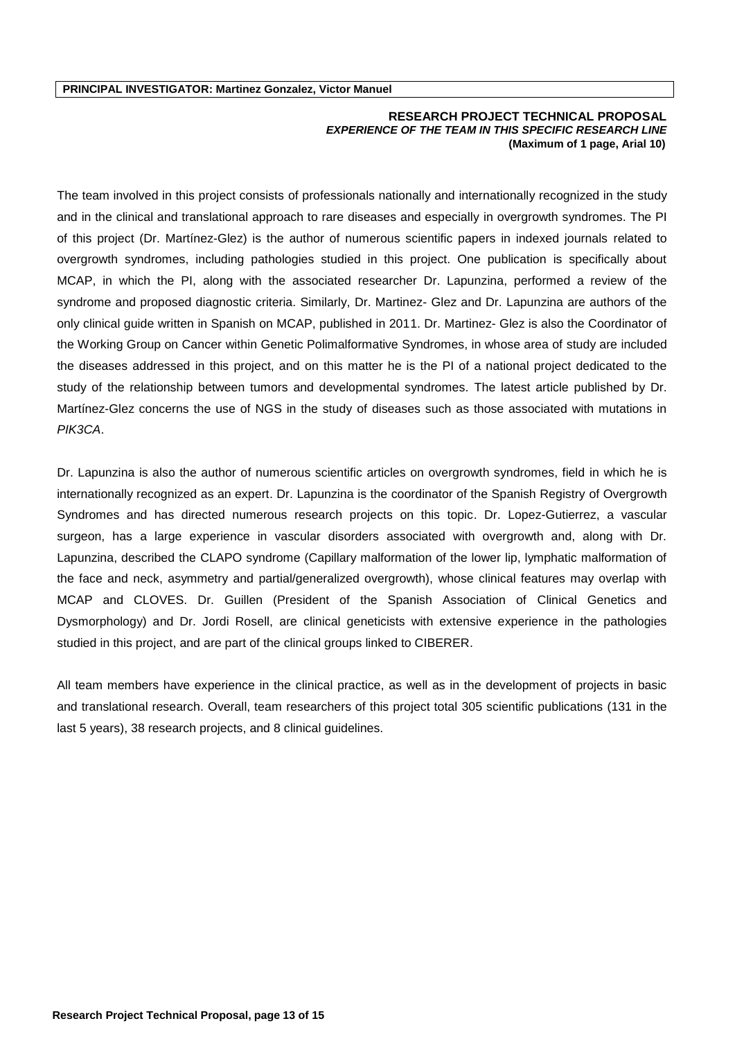#### **RESEARCH PROJECT TECHNICAL PROPOSAL** *EXPERIENCE OF THE TEAM IN THIS SPECIFIC RESEARCH LINE*  **(Maximum of 1 page, Arial 10)**

The team involved in this project consists of professionals nationally and internationally recognized in the study and in the clinical and translational approach to rare diseases and especially in overgrowth syndromes. The PI of this project (Dr. Martínez-Glez) is the author of numerous scientific papers in indexed journals related to overgrowth syndromes, including pathologies studied in this project. One publication is specifically about MCAP, in which the PI, along with the associated researcher Dr. Lapunzina, performed a review of the syndrome and proposed diagnostic criteria. Similarly, Dr. Martinez- Glez and Dr. Lapunzina are authors of the only clinical guide written in Spanish on MCAP, published in 2011. Dr. Martinez- Glez is also the Coordinator of the Working Group on Cancer within Genetic Polimalformative Syndromes, in whose area of study are included the diseases addressed in this project, and on this matter he is the PI of a national project dedicated to the study of the relationship between tumors and developmental syndromes. The latest article published by Dr. Martínez-Glez concerns the use of NGS in the study of diseases such as those associated with mutations in *PIK3CA*.

Dr. Lapunzina is also the author of numerous scientific articles on overgrowth syndromes, field in which he is internationally recognized as an expert. Dr. Lapunzina is the coordinator of the Spanish Registry of Overgrowth Syndromes and has directed numerous research projects on this topic. Dr. Lopez-Gutierrez, a vascular surgeon, has a large experience in vascular disorders associated with overgrowth and, along with Dr. Lapunzina, described the CLAPO syndrome (Capillary malformation of the lower lip, lymphatic malformation of the face and neck, asymmetry and partial/generalized overgrowth), whose clinical features may overlap with MCAP and CLOVES. Dr. Guillen (President of the Spanish Association of Clinical Genetics and Dysmorphology) and Dr. Jordi Rosell, are clinical geneticists with extensive experience in the pathologies studied in this project, and are part of the clinical groups linked to CIBERER.

All team members have experience in the clinical practice, as well as in the development of projects in basic and translational research. Overall, team researchers of this project total 305 scientific publications (131 in the last 5 years), 38 research projects, and 8 clinical guidelines.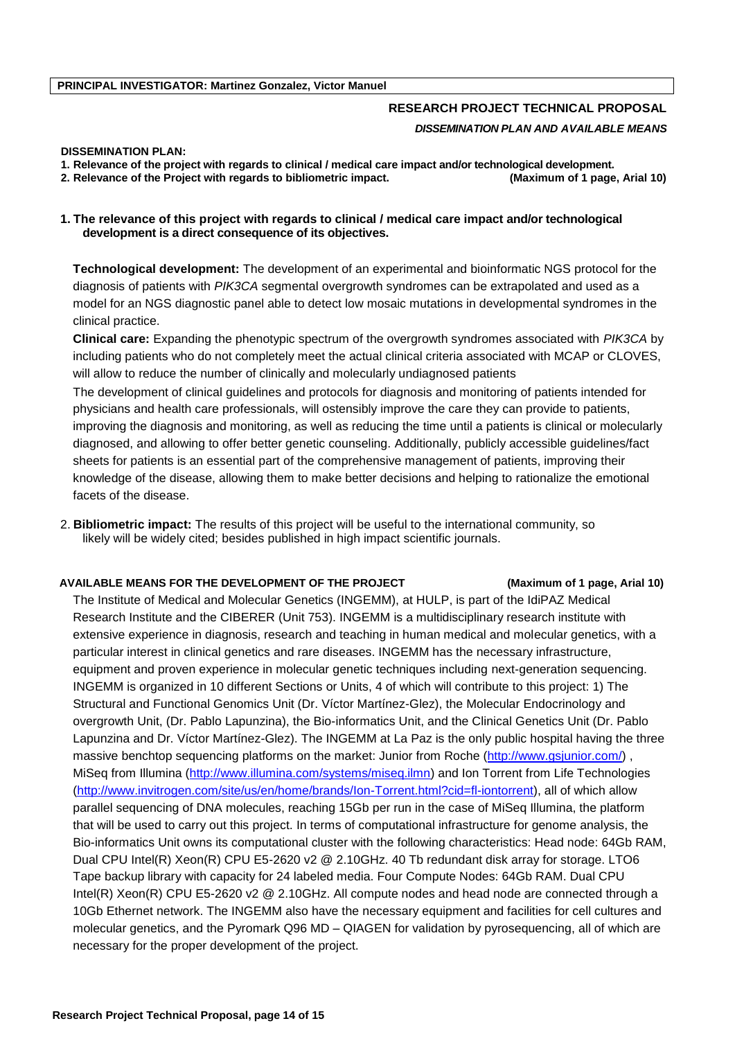# **RESEARCH PROJECT TECHNICAL PROPOSAL** *DISSEMINATION PLAN AND AVAILABLE MEANS*

#### **DISSEMINATION PLAN:**

**1. Relevance of the project with regards to clinical / medical care impact and/or technological development.** 

**2. Relevance of the Project with regards to bibliometric impact. (Maximum of 1 page, Arial 10)**

## **1. The relevance of this project with regards to clinical / medical care impact and/or technological development is a direct consequence of its objectives.**

**Technological development:** The development of an experimental and bioinformatic NGS protocol for the diagnosis of patients with *PIK3CA* segmental overgrowth syndromes can be extrapolated and used as a model for an NGS diagnostic panel able to detect low mosaic mutations in developmental syndromes in the clinical practice.

**Clinical care:** Expanding the phenotypic spectrum of the overgrowth syndromes associated with *PIK3CA* by including patients who do not completely meet the actual clinical criteria associated with MCAP or CLOVES, will allow to reduce the number of clinically and molecularly undiagnosed patients

The development of clinical guidelines and protocols for diagnosis and monitoring of patients intended for physicians and health care professionals, will ostensibly improve the care they can provide to patients, improving the diagnosis and monitoring, as well as reducing the time until a patients is clinical or molecularly diagnosed, and allowing to offer better genetic counseling. Additionally, publicly accessible guidelines/fact sheets for patients is an essential part of the comprehensive management of patients, improving their knowledge of the disease, allowing them to make better decisions and helping to rationalize the emotional facets of the disease.

2. **Bibliometric impact:** The results of this project will be useful to the international community, so likely will be widely cited; besides published in high impact scientific journals.

#### **AVAILABLE MEANS FOR THE DEVELOPMENT OF THE PROJECT (Maximum of 1 page, Arial 10)**

The Institute of Medical and Molecular Genetics (INGEMM), at HULP, is part of the IdiPAZ Medical Research Institute and the CIBERER (Unit 753). INGEMM is a multidisciplinary research institute with extensive experience in diagnosis, research and teaching in human medical and molecular genetics, with a particular interest in clinical genetics and rare diseases. INGEMM has the necessary infrastructure, equipment and proven experience in molecular genetic techniques including next-generation sequencing. INGEMM is organized in 10 different Sections or Units, 4 of which will contribute to this project: 1) The Structural and Functional Genomics Unit (Dr. Víctor Martínez-Glez), the Molecular Endocrinology and overgrowth Unit, (Dr. Pablo Lapunzina), the Bio-informatics Unit, and the Clinical Genetics Unit (Dr. Pablo Lapunzina and Dr. Víctor Martínez-Glez). The INGEMM at La Paz is the only public hospital having the three massive benchtop sequencing platforms on the market: Junior from Roche [\(http://www.gsjunior.com/\)](https://correo.salud.madrid.org/owa/redir.aspx?C=OFnziPecSkOOalexMAPGCMCzbouUR9FIEloWX3g3VC7kFOnn_SenRVb4KJh3GV1-2XERa1_00TA.&URL=http%3a%2f%2fwww.gsjunior.com%2f) , MiSeq from Illumina [\(http://www.illumina.com/systems/miseq.ilmn\)](https://correo.salud.madrid.org/owa/redir.aspx?C=OFnziPecSkOOalexMAPGCMCzbouUR9FIEloWX3g3VC7kFOnn_SenRVb4KJh3GV1-2XERa1_00TA.&URL=http%3a%2f%2fwww.illumina.com%2fsystems%2fmiseq.ilmn) and Ion Torrent from Life Technologies [\(http://www.invitrogen.com/site/us/en/home/brands/Ion-Torrent.html?cid=fl-iontorrent\)](https://correo.salud.madrid.org/owa/redir.aspx?C=OFnziPecSkOOalexMAPGCMCzbouUR9FIEloWX3g3VC7kFOnn_SenRVb4KJh3GV1-2XERa1_00TA.&URL=http%3a%2f%2fwww.invitrogen.com%2fsite%2fus%2fen%2fhome%2fbrands%2fIon-Torrent.html%3fcid%3dfl-iontorrent), all of which allow parallel sequencing of DNA molecules, reaching 15Gb per run in the case of MiSeq Illumina, the platform that will be used to carry out this project. In terms of computational infrastructure for genome analysis, the Bio-informatics Unit owns its computational cluster with the following characteristics: Head node: 64Gb RAM, Dual CPU Intel(R) Xeon(R) CPU E5-2620 v2 @ 2.10GHz. 40 Tb redundant disk array for storage. LTO6 Tape backup library with capacity for 24 labeled media. Four Compute Nodes: 64Gb RAM. Dual CPU Intel(R) Xeon(R) CPU E5-2620 v2 @ 2.10GHz. All compute nodes and head node are connected through a 10Gb Ethernet network. The INGEMM also have the necessary equipment and facilities for cell cultures and molecular genetics, and the Pyromark Q96 MD – QIAGEN for validation by pyrosequencing, all of which are necessary for the proper development of the project.